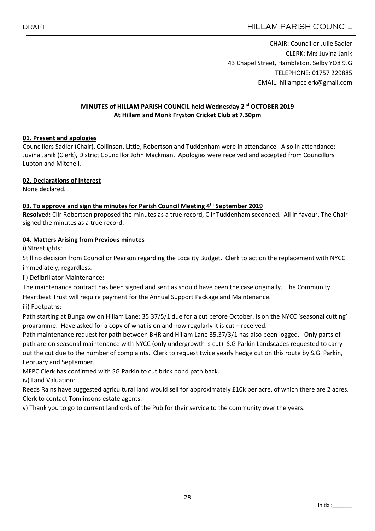CHAIR: Councillor Julie Sadler CLERK: Mrs Juvina Janik 43 Chapel Street, Hambleton, Selby YO8 9JG TELEPHONE: 01757 229885 EMAIL: hillampcclerk@gmail.com

# MINUTES of HILLAM PARISH COUNCIL held Wednesday 2<sup>nd</sup> OCTOBER 2019 At Hillam and Monk Fryston Cricket Club at 7.30pm

### 01. Present and apologies

Councillors Sadler (Chair), Collinson, Little, Robertson and Tuddenham were in attendance. Also in attendance: Juvina Janik (Clerk), District Councillor John Mackman. Apologies were received and accepted from Councillors Lupton and Mitchell.

### 02. Declarations of Interest

None declared.

### 03. To approve and sign the minutes for Parish Council Meeting 4<sup>th</sup> September 2019

Resolved: Cllr Robertson proposed the minutes as a true record, Cllr Tuddenham seconded. All in favour. The Chair signed the minutes as a true record.

### 04. Matters Arising from Previous minutes

i) Streetlights:

Still no decision from Councillor Pearson regarding the Locality Budget. Clerk to action the replacement with NYCC immediately, regardless.

ii) Defibrillator Maintenance:

The maintenance contract has been signed and sent as should have been the case originally. The Community

Heartbeat Trust will require payment for the Annual Support Package and Maintenance.

iii) Footpaths:

Path starting at Bungalow on Hillam Lane: 35.37/5/1 due for a cut before October. Is on the NYCC 'seasonal cutting' programme. Have asked for a copy of what is on and how regularly it is cut – received.

Path maintenance request for path between BHR and Hillam Lane 35.37/3/1 has also been logged. Only parts of path are on seasonal maintenance with NYCC (only undergrowth is cut). S.G Parkin Landscapes requested to carry out the cut due to the number of complaints. Clerk to request twice yearly hedge cut on this route by S.G. Parkin, February and September.

MFPC Clerk has confirmed with SG Parkin to cut brick pond path back.

iv) Land Valuation:

Reeds Rains have suggested agricultural land would sell for approximately £10k per acre, of which there are 2 acres. Clerk to contact Tomlinsons estate agents.

v) Thank you to go to current landlords of the Pub for their service to the community over the years.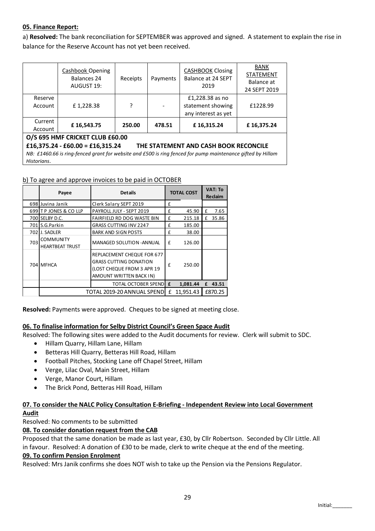# 05. Finance Report:

a) Resolved: The bank reconciliation for SEPTEMBER was approved and signed. A statement to explain the rise in balance for the Reserve Account has not yet been received.

|                                                                           | <b>Cashbook Opening</b><br>Balances 24<br>AUGUST 19: | Receipts | Payments | <b>CASHBOOK Closing</b><br>Balance at 24 SEPT<br>2019 | BANK<br><b>STATEMENT</b><br>Balance at<br>24 SEPT 2019 |  |  |  |  |
|---------------------------------------------------------------------------|------------------------------------------------------|----------|----------|-------------------------------------------------------|--------------------------------------------------------|--|--|--|--|
| Reserve<br>Account                                                        | £1,228.38                                            | 7        |          | £1,228.38 as no<br>statement showing                  | £1228.99                                               |  |  |  |  |
|                                                                           |                                                      |          |          | any interest as yet                                   |                                                        |  |  |  |  |
| Current                                                                   | £16,543.75                                           | 250.00   | 478.51   | £16,315.24                                            | £16,375.24                                             |  |  |  |  |
| Account                                                                   |                                                      |          |          |                                                       |                                                        |  |  |  |  |
| O/S 695 HMF CRICKET CLUB £60.00                                           |                                                      |          |          |                                                       |                                                        |  |  |  |  |
| £16,375.24 - £60.00 = £16,315.24<br>THE STATEMENT AND CASH BOOK RECONCILE |                                                      |          |          |                                                       |                                                        |  |  |  |  |

*NB: £1460.66 is ring-fenced grant for website and £500 is ring fenced for pump maintenance gifted by Hillam Historians*.

### b) To agree and approve invoices to be paid in OCTOBER

|     | Payee                                      | <b>Details</b>                                                                                                       | <b>TOTAL COST</b> |           | <b>VAT: To</b><br><b>Reclaim</b> |         |
|-----|--------------------------------------------|----------------------------------------------------------------------------------------------------------------------|-------------------|-----------|----------------------------------|---------|
|     | 698 Juvina Janik                           | Clerk Salary SEPT 2019                                                                                               | £                 |           |                                  |         |
|     | 699 TP JONES & CO LLP                      | PAYROLL JULY - SEPT 2019                                                                                             | £                 | 45.90     | £                                | 7.65    |
|     | 700 SELBY D.C.                             | FAIRFIELD RD DOG WASTE BIN                                                                                           | £                 | 215.18    | £                                | 35.86   |
|     | 701 S.G.Parkin                             | GRASS CUTTING INV 2247                                                                                               | £                 | 185.00    |                                  |         |
|     | 702 J. SADLER                              | <b>BARK AND SIGN POSTS</b>                                                                                           | £                 | 38.00     |                                  |         |
| 703 | <b>COMMUNITY</b><br><b>HEARTBEAT TRUST</b> | <b>MANAGED SOLUTION - ANNUAL</b>                                                                                     | £                 | 126.00    |                                  |         |
|     | 704 MFHCA                                  | REPLACEMENT CHEQUE FOR 677<br><b>GRASS CUTTING DONATION</b><br>(LOST CHEQUE FROM 3 APR 19<br>AMOUNT WRITTEN BACK IN) | f                 | 250.00    |                                  |         |
|     |                                            | <b>TOTAL OCTOBER SPEND</b>                                                                                           | £                 | 1,081.44  | £                                | 43.51   |
|     | TOTAL 2019-20 ANNUAL SPEND                 |                                                                                                                      |                   | 11.951.43 |                                  | £870.25 |

Resolved: Payments were approved. Cheques to be signed at meeting close.

# 06. To finalise information for Selby District Council's Green Space Audit

Resolved: The following sites were added to the Audit documents for review. Clerk will submit to SDC.

- Hillam Quarry, Hillam Lane, Hillam
- Betteras Hill Quarry, Betteras Hill Road, Hillam
- Football Pitches, Stocking Lane off Chapel Street, Hillam
- Verge, Lilac Oval, Main Street, Hillam
- Verge, Manor Court, Hillam
- The Brick Pond, Betteras Hill Road, Hillam

# 07. To consider the NALC Policy Consultation E-Briefing - Independent Review into Local Government Audit

Resolved: No comments to be submitted

# 08. To consider donation request from the CAB

Proposed that the same donation be made as last year, £30, by Cllr Robertson. Seconded by Cllr Little. All in favour. Resolved: A donation of £30 to be made, clerk to write cheque at the end of the meeting.

#### 09. To confirm Pension Enrolment

Resolved: Mrs Janik confirms she does NOT wish to take up the Pension via the Pensions Regulator.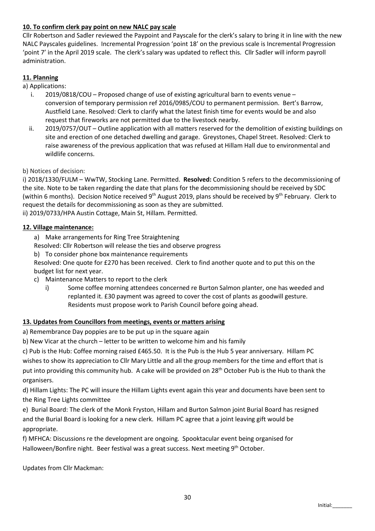# 10. To confirm clerk pay point on new NALC pay scale

Cllr Robertson and Sadler reviewed the Paypoint and Payscale for the clerk's salary to bring it in line with the new NALC Payscales guidelines. Incremental Progression 'point 18' on the previous scale is Incremental Progression 'point 7' in the April 2019 scale. The clerk's salary was updated to reflect this. Cllr Sadler will inform payroll administration.

# 11. Planning

a) Applications:

- i. 2019/0818/COU Proposed change of use of existing agricultural barn to events venue conversion of temporary permission ref 2016/0985/COU to permanent permission. Bert's Barrow, Austfield Lane. Resolved: Clerk to clarify what the latest finish time for events would be and also request that fireworks are not permitted due to the livestock nearby.
- ii. 2019/0757/OUT Outline application with all matters reserved for the demolition of existing buildings on site and erection of one detached dwelling and garage. Greystones, Chapel Street. Resolved: Clerk to raise awareness of the previous application that was refused at Hillam Hall due to environmental and wildlife concerns.

### b) Notices of decision:

i) 2018/1330/FULM - WwTW, Stocking Lane. Permitted. Resolved: Condition 5 refers to the decommissioning of the site. Note to be taken regarding the date that plans for the decommissioning should be received by SDC (within 6 months). Decision Notice received 9<sup>th</sup> August 2019, plans should be received by 9<sup>th</sup> February. Clerk to request the details for decommissioning as soon as they are submitted. ii) 2019/0733/HPA Austin Cottage, Main St, Hillam. Permitted.

### 12. Village maintenance:

- a) Make arrangements for Ring Tree Straightening
- Resolved: Cllr Robertson will release the ties and observe progress
- b) To consider phone box maintenance requirements

Resolved: One quote for £270 has been received. Clerk to find another quote and to put this on the budget list for next year.

- c) Maintenance Matters to report to the clerk
	- i) Some coffee morning attendees concerned re Burton Salmon planter, one has weeded and replanted it. £30 payment was agreed to cover the cost of plants as goodwill gesture. Residents must propose work to Parish Council before going ahead.

# 13. Updates from Councillors from meetings, events or matters arising

a) Remembrance Day poppies are to be put up in the square again

b) New Vicar at the church – letter to be written to welcome him and his family

c) Pub is the Hub: Coffee morning raised £465.50. It is the Pub is the Hub 5 year anniversary. Hillam PC wishes to show its appreciation to Cllr Mary Little and all the group members for the time and effort that is put into providing this community hub. A cake will be provided on 28<sup>th</sup> October Pub is the Hub to thank the organisers.

d) Hillam Lights: The PC will insure the Hillam Lights event again this year and documents have been sent to the Ring Tree Lights committee

e) Burial Board: The clerk of the Monk Fryston, Hillam and Burton Salmon joint Burial Board has resigned and the Burial Board is looking for a new clerk. Hillam PC agree that a joint leaving gift would be appropriate.

f) MFHCA: Discussions re the development are ongoing. Spooktacular event being organised for Halloween/Bonfire night. Beer festival was a great success. Next meeting 9<sup>th</sup> October.

Updates from Cllr Mackman: